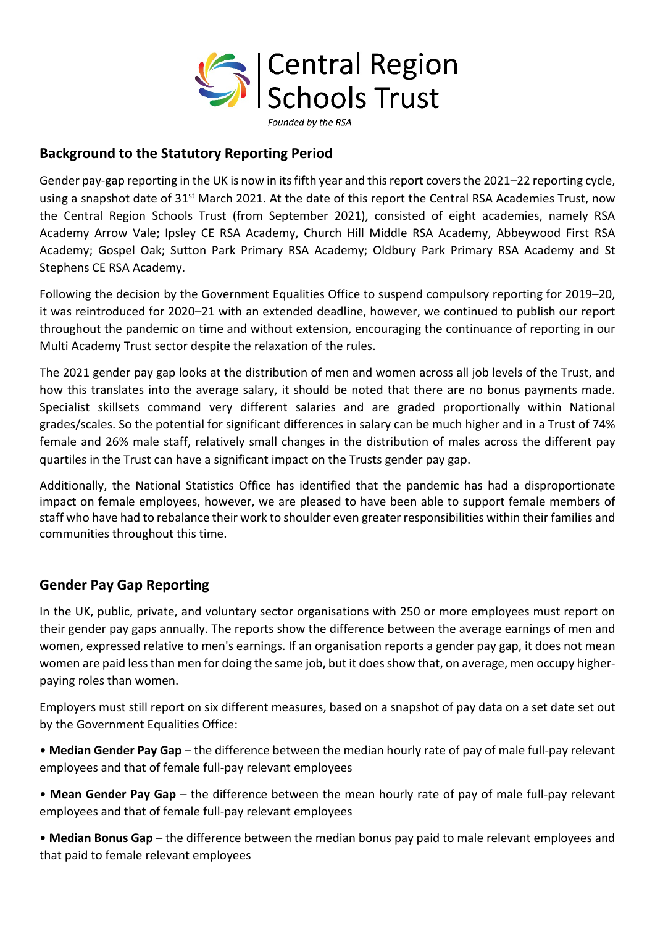

## **Background to the Statutory Reporting Period**

Gender pay-gap reporting in the UK is now in its fifth year and this report covers the 2021–22 reporting cycle, using a snapshot date of 31<sup>st</sup> March 2021. At the date of this report the Central RSA Academies Trust, now the Central Region Schools Trust (from September 2021), consisted of eight academies, namely RSA Academy Arrow Vale; Ipsley CE RSA Academy, Church Hill Middle RSA Academy, Abbeywood First RSA Academy; Gospel Oak; Sutton Park Primary RSA Academy; Oldbury Park Primary RSA Academy and St Stephens CE RSA Academy.

Following the decision by the Government Equalities Office to suspend compulsory reporting for 2019–20, it was reintroduced for 2020–21 with an extended deadline, however, we continued to publish our report throughout the pandemic on time and without extension, encouraging the continuance of reporting in our Multi Academy Trust sector despite the relaxation of the rules.

The 2021 gender pay gap looks at the distribution of men and women across all job levels of the Trust, and how this translates into the average salary, it should be noted that there are no bonus payments made. Specialist skillsets command very different salaries and are graded proportionally within National grades/scales. So the potential for significant differences in salary can be much higher and in a Trust of 74% female and 26% male staff, relatively small changes in the distribution of males across the different pay quartiles in the Trust can have a significant impact on the Trusts gender pay gap.

Additionally, the National Statistics Office has identified that the pandemic has had a disproportionate impact on female employees, however, we are pleased to have been able to support female members of staff who have had to rebalance their work to shoulder even greater responsibilities within their families and communities throughout this time.

## **Gender Pay Gap Reporting**

In the UK, public, private, and voluntary sector organisations with 250 or more employees must report on their gender pay gaps annually. The reports show the difference between the average earnings of men and women, expressed relative to men's earnings. If an organisation reports a gender pay gap, it does not mean women are paid less than men for doing the same job, but it does show that, on average, men occupy higherpaying roles than women.

Employers must still report on six different measures, based on a snapshot of pay data on a set date set out by the Government Equalities Office:

• **Median Gender Pay Gap** – the difference between the median hourly rate of pay of male full-pay relevant employees and that of female full-pay relevant employees

• **Mean Gender Pay Gap** – the difference between the mean hourly rate of pay of male full-pay relevant employees and that of female full-pay relevant employees

• **Median Bonus Gap** – the difference between the median bonus pay paid to male relevant employees and that paid to female relevant employees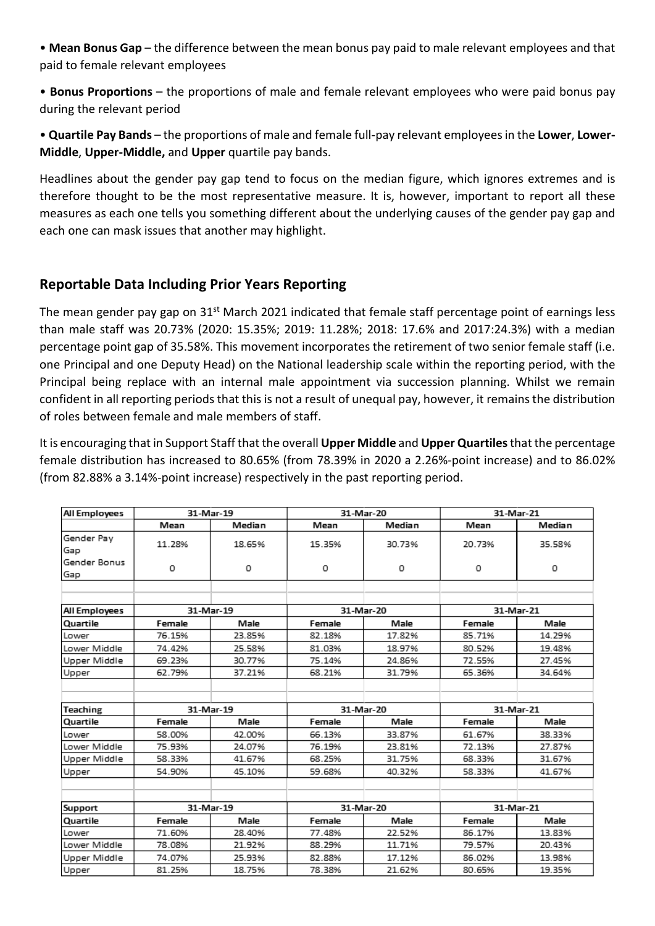• **Mean Bonus Gap** – the difference between the mean bonus pay paid to male relevant employees and that paid to female relevant employees

• **Bonus Proportions** – the proportions of male and female relevant employees who were paid bonus pay during the relevant period

• **Quartile Pay Bands** – the proportions of male and female full-pay relevant employees in the **Lower**, **Lower-Middle**, **Upper-Middle,** and **Upper** quartile pay bands.

Headlines about the gender pay gap tend to focus on the median figure, which ignores extremes and is therefore thought to be the most representative measure. It is, however, important to report all these measures as each one tells you something different about the underlying causes of the gender pay gap and each one can mask issues that another may highlight.

## **Reportable Data Including Prior Years Reporting**

The mean gender pay gap on 31<sup>st</sup> March 2021 indicated that female staff percentage point of earnings less than male staff was 20.73% (2020: 15.35%; 2019: 11.28%; 2018: 17.6% and 2017:24.3%) with a median percentage point gap of 35.58%. This movement incorporates the retirement of two senior female staff (i.e. one Principal and one Deputy Head) on the National leadership scale within the reporting period, with the Principal being replace with an internal male appointment via succession planning. Whilst we remain confident in all reporting periods that this is not a result of unequal pay, however, it remains the distribution of roles between female and male members of staff.

It is encouraging that in Support Staff that the overall **Upper Middle** and **Upper Quartiles**that the percentage female distribution has increased to 80.65% (from 78.39% in 2020 a 2.26%-point increase) and to 86.02% (from 82.88% a 3.14%-point increase) respectively in the past reporting period.

| All Employees       | 31-Mar-19      |        | 31-Mar-20      |        | 31-Mar-21      |        |
|---------------------|----------------|--------|----------------|--------|----------------|--------|
|                     | Mean           | Median | Mean           | Median | Mean           | Median |
| Gender Pay<br>Gap   | 11.28%         | 18.65% | 15.35%         | 30.73% | 20.73%         | 35.58% |
| Gender Bonus<br>Gap | 0              | 0      | 0              | 0      | 0              | 0      |
|                     |                |        |                |        |                |        |
| All Employees       | 31-Mar-19      |        | 31-Mar-20      |        | 31-Mar-21      |        |
| Quartile            | Female         | Male   | Female         | Male   | Female         | Male   |
| Lower               | 76.15%         | 23.85% | 82.18%         | 17.82% | 85.71%         | 14.29% |
| Lower Middle        | 74.42%         | 25.58% | 81.03%         | 18.97% | 80.52%         | 19.48% |
| Upper Middle        | 69.23%         | 30.77% | 75.14%         | 24.86% | 72.55%         | 27.45% |
| Upper               | 62.79%         | 37.21% | 68.21%         | 31.79% | 65.36%         | 34.64% |
|                     |                |        |                |        |                |        |
| <b>Teaching</b>     | 31-Mar-19      |        | 31-Mar-20      |        | 31-Mar-21      |        |
| Quartile            | Female         | Male   | Female         | Male   | Female         | Male   |
| Lower               | 58.00%         | 42.00% | 66.13%         | 33.87% | 61.67%         | 38.33% |
| Lower Middle        | 75.93%         | 24.07% | 76.19%         | 23.81% | 72.13%         | 27.87% |
| Upper Middle        | 58.33%         | 41.67% | 68.25%         | 31.75% | 68.33%         | 31.67% |
| Upper               | 54.90%         | 45.10% | 59.68%         | 40.32% | 58.33%         | 41.67% |
|                     |                |        |                |        |                |        |
| Support             | 31-Mar-19      |        | 31-Mar-20      |        | 31-Mar-21      |        |
| Quartile            | Male<br>Female |        | Female<br>Male |        | Male<br>Female |        |
| Lower               | 71.60%         | 28.40% | 77.48%         | 22.52% | 86.17%         | 13.83% |
| Lower Middle        | 78.08%         | 21.92% | 88.29%         | 11.71% | 79.57%         | 20.43% |
| Upper Middle        | 74.07%         | 25.93% | 82.88%         | 17.12% | 86.02%         | 13.98% |
| Upper               | 81.25%         | 18.75% | 78.38%         | 21.62% | 80.65%         | 19.35% |